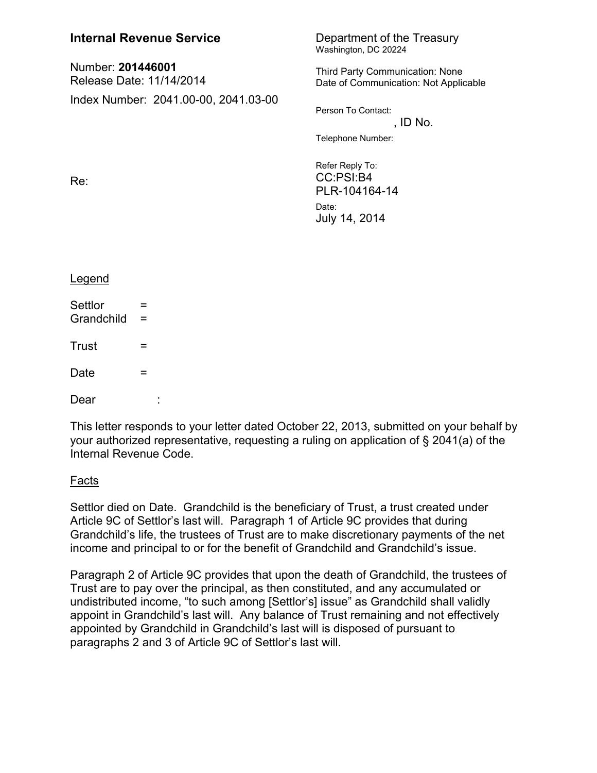| <b>Internal Revenue Service</b>               |          | Department of the Treasury<br>Washington, DC 20224                                                                             |
|-----------------------------------------------|----------|--------------------------------------------------------------------------------------------------------------------------------|
| Number: 201446001<br>Release Date: 11/14/2014 |          | Third Party Communication: None<br>Date of Communication: Not Applicable                                                       |
| Index Number: 2041.00-00, 2041.03-00<br>Re:   |          | Person To Contact:<br>, ID No.<br>Telephone Number:<br>Refer Reply To:<br>CC:PSI:B4<br>PLR-104164-14<br>Date:<br>July 14, 2014 |
| Legend                                        |          |                                                                                                                                |
| Settlor                                       |          |                                                                                                                                |
| Grandchild                                    | =<br>$=$ |                                                                                                                                |
| Trust                                         | =        |                                                                                                                                |
| Date                                          | =        |                                                                                                                                |
| Dear                                          |          |                                                                                                                                |

This letter responds to your letter dated October 22, 2013, submitted on your behalf by your authorized representative, requesting a ruling on application of § 2041(a) of the Internal Revenue Code.

## Facts

Settlor died on Date. Grandchild is the beneficiary of Trust, a trust created under Article 9C of Settlor's last will. Paragraph 1 of Article 9C provides that during Grandchild's life, the trustees of Trust are to make discretionary payments of the net income and principal to or for the benefit of Grandchild and Grandchild's issue.

Paragraph 2 of Article 9C provides that upon the death of Grandchild, the trustees of Trust are to pay over the principal, as then constituted, and any accumulated or undistributed income, "to such among [Settlor's] issue" as Grandchild shall validly appoint in Grandchild's last will. Any balance of Trust remaining and not effectively appointed by Grandchild in Grandchild's last will is disposed of pursuant to paragraphs 2 and 3 of Article 9C of Settlor's last will.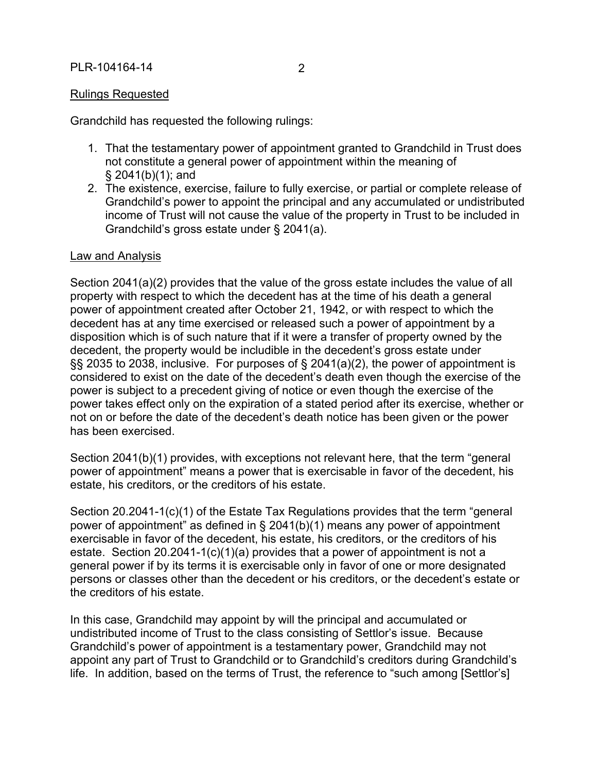## Rulings Requested

Grandchild has requested the following rulings:

- 1. That the testamentary power of appointment granted to Grandchild in Trust does not constitute a general power of appointment within the meaning of § 2041(b)(1); and
- 2. The existence, exercise, failure to fully exercise, or partial or complete release of Grandchild's power to appoint the principal and any accumulated or undistributed income of Trust will not cause the value of the property in Trust to be included in Grandchild's gross estate under § 2041(a).

## Law and Analysis

Section 2041(a)(2) provides that the value of the gross estate includes the value of all property with respect to which the decedent has at the time of his death a general power of appointment created after October 21, 1942, or with respect to which the decedent has at any time exercised or released such a power of appointment by a disposition which is of such nature that if it were a transfer of property owned by the decedent, the property would be includible in the decedent's gross estate under §§ 2035 to 2038, inclusive. For purposes of § 2041(a)(2), the power of appointment is considered to exist on the date of the decedent's death even though the exercise of the power is subject to a precedent giving of notice or even though the exercise of the power takes effect only on the expiration of a stated period after its exercise, whether or not on or before the date of the decedent's death notice has been given or the power has been exercised.

Section 2041(b)(1) provides, with exceptions not relevant here, that the term "general power of appointment" means a power that is exercisable in favor of the decedent, his estate, his creditors, or the creditors of his estate.

Section 20.2041-1(c)(1) of the Estate Tax Regulations provides that the term "general power of appointment" as defined in § 2041(b)(1) means any power of appointment exercisable in favor of the decedent, his estate, his creditors, or the creditors of his estate. Section 20.2041-1(c)(1)(a) provides that a power of appointment is not a general power if by its terms it is exercisable only in favor of one or more designated persons or classes other than the decedent or his creditors, or the decedent's estate or the creditors of his estate.

In this case, Grandchild may appoint by will the principal and accumulated or undistributed income of Trust to the class consisting of Settlor's issue. Because Grandchild's power of appointment is a testamentary power, Grandchild may not appoint any part of Trust to Grandchild or to Grandchild's creditors during Grandchild's life. In addition, based on the terms of Trust, the reference to "such among [Settlor's]